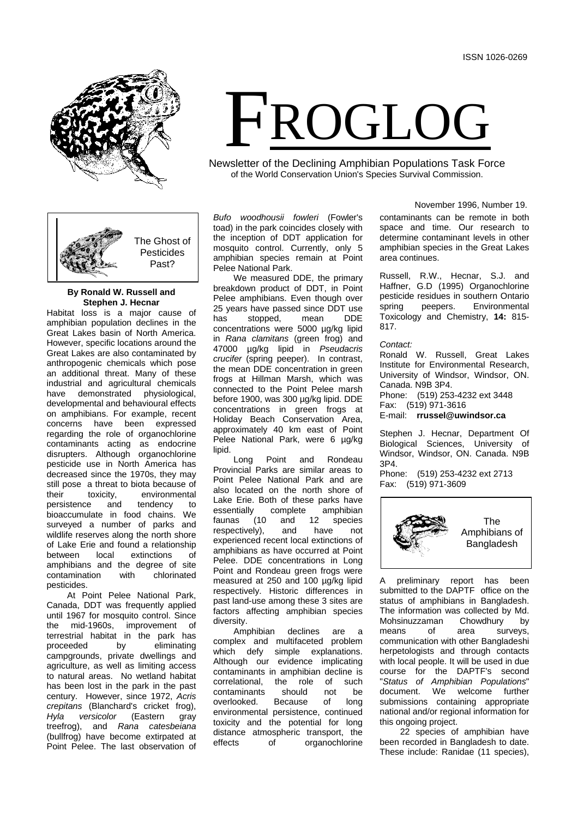



# **By Ronald W. Russell and Stephen J. Hecnar**

Habitat loss is a major cause of amphibian population declines in the Great Lakes basin of North America. However, specific locations around the Great Lakes are also contaminated by anthropogenic chemicals which pose an additional threat. Many of these industrial and agricultural chemicals have demonstrated physiological, developmental and behavioural effects on amphibians. For example, recent concerns have been expressed regarding the role of organochlorine contaminants acting as endocrine disrupters. Although organochlorine pesticide use in North America has decreased since the 1970s, they may still pose a threat to biota because of<br>their toxicity. environmental tity, environmental<br>and tendency to persistence and tendency to bioaccumulate in food chains. We surveyed a number of parks and wildlife reserves along the north shore of Lake Erie and found a relationship between local extinctions of amphibians and the degree of site contamination pesticides.

At Point Pelee National Park, Canada, DDT was frequently applied until 1967 for mosquito control. Since the mid-1960s, improvement of terrestrial habitat in the park has<br>proceeded by eliminating eliminating campgrounds, private dwellings and agriculture, as well as limiting access to natural areas. No wetland habitat has been lost in the park in the past century. However, since 1972, *Acris crepitans* (Blanchard's cricket frog), *Hyla versicolor* (Eastern gray treefrog), and *Rana catesbeiana*  (bullfrog) have become extirpated at Point Pelee. The last observation of

*Bufo woodhousii fowleri* (Fowler's toad) in the park coincides closely with the inception of DDT application for mosquito control. Currently, only 5 amphibian species remain at Point Pelee National Park.

We measured DDE, the primary breakdown product of DDT, in Point Pelee amphibians. Even though over 25 years have passed since DDT use<br>has stopped, mean DDE stopped, concentrations were 5000 µg/kg lipid in *Rana clamitans* (green frog) and 47000 µg/kg lipid in *Pseudacris crucifer* (spring peeper). In contrast, the mean DDE concentration in green frogs at Hillman Marsh, which was connected to the Point Pelee marsh before 1900, was 300 µg/kg lipid. DDE concentrations in green frogs at Holiday Beach Conservation Area, approximately 40 km east of Point Pelee National Park, were 6 µg/kg lipid.

Long Point and Rondeau Provincial Parks are similar areas to Point Pelee National Park and are also located on the north shore of Lake Erie. Both of these parks have<br>essentially complete amphibian essentially complete<br>faunas (10 and 12 and 12 species<br>and have not respectively), and have not experienced recent local extinctions of amphibians as have occurred at Point Pelee. DDE concentrations in Long Point and Rondeau green frogs were measured at 250 and 100 µg/kg lipid respectively. Historic differences in past land-use among these 3 sites are factors affecting amphibian species diversity.

Amphibian declines are a complex and multifaceted problem which defy simple explanations. Although our evidence implicating contaminants in amphibian decline is<br>correlational. the role of such correlational, the role of such contaminants should not be<br>overlooked. Because of long overlooked environmental persistence, continued toxicity and the potential for long distance atmospheric transport, the<br>effects of organochlorine of organochlorine November 1996, Number 19.

contaminants can be remote in both space and time. Our research to determine contaminant levels in other amphibian species in the Great Lakes area continues.

Russell, R.W., Hecnar, S.J. and Haffner, G.D (1995) Organochlorine pesticide residues in southern Ontario<br>spring peepers. Environmental **Environmental** Toxicology and Chemistry, **14:** 815- 817.

*Contact:*

FROGLOG

Newsletter of the Declining Amphibian Populations Task Force of the World Conservation Union's Species Survival Commission.

> Ronald W. Russell, Great Lakes Institute for Environmental Research, University of Windsor, Windsor, ON. Canada. N9B 3P4. Phone: (519) 253-4232 ext 3448 Fax: (519) 971-3616 E-mail: **rrussel@uwindsor.ca**

> Stephen J. Hecnar, Department Of Biological Sciences, University of Windsor, Windsor, ON. Canada. N9B 3P4.

Phone: (519) 253-4232 ext 2713 Fax: (519) 971-3609



A preliminary report has been submitted to the DAPTF office on the status of amphibians in Bangladesh. The information was collected by Md.<br>Mohsinuzzaman Chowdhury by Mohsinuzzaman Chowdhury by<br>means of area surveys means of area surveys, communication with other Bangladeshi herpetologists and through contacts with local people. It will be used in due course for the DAPTF's second "*Status of Amphibian Populations*" welcome further submissions containing appropriate national and/or regional information for this ongoing project.

22 species of amphibian have been recorded in Bangladesh to date. These include: Ranidae (11 species),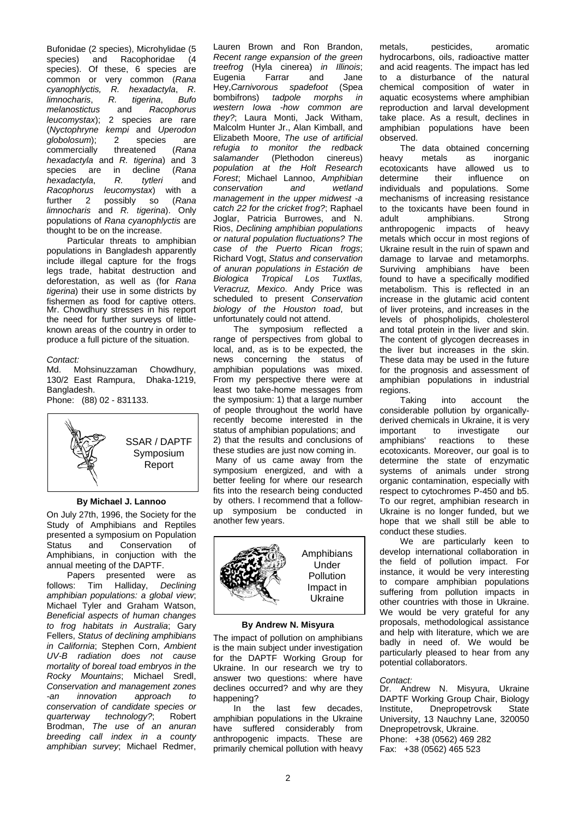Bufonidae (2 species), Microhylidae (5<br>species) and Racophoridae (4 Racophoridae species). Of these, 6 species are common or very common (*Rana cyanophlyctis, R. hexadactyla*, *R. limnocharis*, *R. t*<br>*melanostictus* and *melanostictus* and *Racophorus leucomystax*); 2 species are rare (*Nyctophryne kempi* and *Uperodon globolosum*); 2 species are commercially *hexadactyla* and *R. tigerina*) and 3 species are in decline (*Rana hexadactyla,<br>Racophorus Racophorus leucomystax*) with a possibly so (Rana *limnocharis* and *R. tigerina*). Only populations of *Rana cyanophlyctis* are thought to be on the increase.

Particular threats to amphibian populations in Bangladesh apparently include illegal capture for the frogs legs trade, habitat destruction and deforestation, as well as (for *Rana tigerina*) their use in some districts by fishermen as food for captive otters. Mr. Chowdhury stresses in his report the need for further surveys of littleknown areas of the country in order to produce a full picture of the situation.

# *Contact:*

Mohsinuzzaman Chowdhury,<br>East Rampura. Dhaka-1219. 130/2 East Rampura, Bangladesh.

Phone: (88) 02 - 831133.



#### **By Michael J. Lannoo**

On July 27th, 1996, the Society for the Study of Amphibians and Reptiles presented a symposium on Population<br>Status and Conservation of Status and Conservation of Amphibians, in conjuction with the annual meeting of the DAPTF.

Papers presented were as follows: Tim Halliday, *Declining amphibian populations: a global view*; Michael Tyler and Graham Watson, *Beneficial aspects of human changes to frog habitats in Australia*; Gary Fellers, *Status of declining amphibians in California*; Stephen Corn, *Ambient UV-B radiation does not cause mortality of boreal toad embryos in the Rocky Mountains*; Michael Sredl, *Conservation and management zones -an innovation approach to conservation of candidate species or quarterway technology?*; Robert Brodman, *The use of an anuran breeding call index in a county amphibian survey*; Michael Redmer,

Lauren Brown and Ron Brandon, *Recent range expansion of the green treefrog* (Hyla cinerea) *in Illinois*; Eugenia Farrar and Jane<br>Hev.Carnivorous spadefoot (Spea Hey,*Carnivorous spadefoot* (Spea bombifrons) *tadpole western Iowa -how common are they?*; Laura Monti, Jack Witham, Malcolm Hunter Jr., Alan Kimball, and Elizabeth Moore, *The use of artificial refugia to monitor the redback*   $s$ alamander *population at the Holt Research Forest*; Michael Lannoo, *Amphibian conservation and wetland management in the upper midwest -a catch 22 for the cricket frog?*; Raphael Joglar, Patricia Burrowes, and N. Rios, *Declining amphibian populations or natural population fluctuations? The case of the Puerto Rican frogs*; Richard Vogt, *Status and conservation of anuran populations in Estación de Biologica Tropical Los Tuxtlas, Veracruz, Mexico*. Andy Price was scheduled to present *Conservation biology of the Houston toad*, but unfortunately could not attend.

The symposium reflected a range of perspectives from global to local, and, as is to be expected, the news concerning the status of amphibian populations was mixed. From my perspective there were at least two take-home messages from the symposium: 1) that a large number of people throughout the world have recently become interested in the status of amphibian populations; and 2) that the results and conclusions of these studies are just now coming in. Many of us came away from the symposium energized, and with a better feeling for where our research fits into the research being conducted by others. I recommend that a followup symposium be conducted in another few years.



## **By Andrew N. Misyura**

The impact of pollution on amphibians is the main subject under investigation for the DAPTF Working Group for Ukraine. In our research we try to answer two questions: where have declines occurred? and why are they happening?<br>In the

last few decades, amphibian populations in the Ukraine have suffered considerably from anthropogenic impacts. These are primarily chemical pollution with heavy metals, pesticides, aromatic hydrocarbons, oils, radioactive matter and acid reagents. The impact has led to a disturbance of the natural chemical composition of water in aquatic ecosystems where amphibian reproduction and larval development take place. As a result, declines in amphibian populations have been observed.

The data obtained concerning<br>heavy metals as inorganic as inorganic<br>allowed us to ecotoxicants have allowed determine their influence on individuals and populations. Some mechanisms of increasing resistance to the toxicants have been found in<br>adult amphibians. Strong amphibians. Strong<br>nic impacts of heavy anthropogenic impacts metals which occur in most regions of Ukraine result in the ruin of spawn and damage to larvae and metamorphs. Surviving amphibians have been found to have a specifically modified metabolism. This is reflected in an increase in the glutamic acid content of liver proteins, and increases in the levels of phospholipids, cholesterol and total protein in the liver and skin. The content of glycogen decreases in the liver but increases in the skin. These data may be used in the future for the prognosis and assessment of amphibian populations in industrial

regions.<br>Taking into account the considerable pollution by organicallyderived chemicals in Ukraine, it is very important to investigate our amphibians' reactions to these ecotoxicants. Moreover, our goal is to determine the state of enzymatic systems of animals under strong organic contamination, especially with respect to cytochromes P-450 and b5. To our regret, amphibian research in Ukraine is no longer funded, but we hope that we shall still be able to conduct these studies.

We are particularly keen to develop international collaboration in the field of pollution impact. For instance, it would be very interesting to compare amphibian populations suffering from pollution impacts in other countries with those in Ukraine. We would be very grateful for any proposals, methodological assistance and help with literature, which we are badly in need of. We would be particularly pleased to hear from any potential collaborators.

## *Contact:*

Dr. Andrew N. Misyura, Ukraine DAPTF Working Group Chair, Biology Institute, Dnepropetrovsk State University, 13 Nauchny Lane, 320050 Dnepropetrovsk, Ukraine. Phone: +38 (0562) 469 282 Fax: +38 (0562) 465 523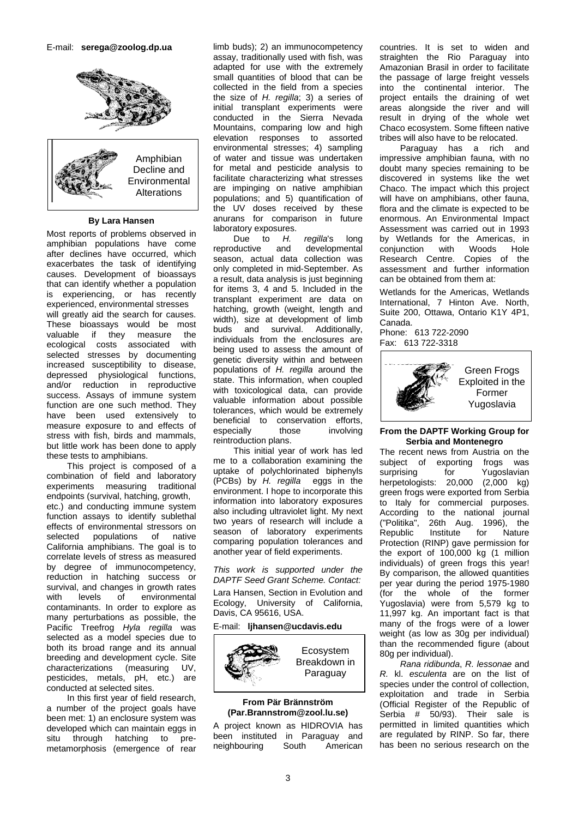

## **By Lara Hansen**

Most reports of problems observed in amphibian populations have come after declines have occurred, which exacerbates the task of identifying causes. Development of bioassays that can identify whether a population is experiencing, or has recently experienced, environmental stresses will greatly aid the search for causes. These bioassays would be most<br>valuable if they measure the they measure the<br>osts associated with ecological costs associated selected stresses by documenting increased susceptibility to disease, depressed physiological functions, and/or reduction in reproductive success. Assays of immune system function are one such method. They have been used extensively to measure exposure to and effects of stress with fish, birds and mammals, but little work has been done to apply these tests to amphibians.

This project is composed of a combination of field and laboratory experiments measuring traditional endpoints (survival, hatching, growth, etc.) and conducting immune system function assays to identify sublethal effects of environmental stressors on selected populations of native California amphibians. The goal is to correlate levels of stress as measured by degree of immunocompetency, reduction in hatching success or survival, and changes in growth rates with levels of environmental contaminants. In order to explore as many perturbations as possible, the Pacific Treefrog *Hyla regilla* was selected as a model species due to both its broad range and its annual breeding and development cycle. Site characterizations (measuring UV, pesticides, metals, pH, etc.) are conducted at selected sites.

In this first year of field research, a number of the project goals have been met: 1) an enclosure system was developed which can maintain eggs in<br>situ through hatching to prehatching to premetamorphosis (emergence of rear

limb buds); 2) an immunocompetency assay, traditionally used with fish, was adapted for use with the extremely small quantities of blood that can be collected in the field from a species the size of *H. regilla*; 3) a series of initial transplant experiments were conducted in the Sierra Nevada Mountains, comparing low and high elevation responses to assorted environmental stresses; 4) sampling of water and tissue was undertaken for metal and pesticide analysis to facilitate characterizing what stresses are impinging on native amphibian populations; and 5) quantification of the UV doses received by these anurans for comparison in future laboratory exposures.

Due to *H. regilla*'s long<br>reproductive and developmental developmental season, actual data collection was only completed in mid-September. As a result, data analysis is just beginning for items 3, 4 and 5. Included in the transplant experiment are data on hatching, growth (weight, length and width), size at development of limb<br>buds and survival. Additionally, buds and survival. individuals from the enclosures are being used to assess the amount of genetic diversity within and between populations of *H. regilla* around the state. This information, when coupled with toxicological data, can provide valuable information about possible tolerances, which would be extremely beneficial to conservation efforts, especially those involving reintroduction plans.

This initial year of work has led me to a collaboration examining the uptake of polychlorinated biphenyls (PCBs) by *H. regilla* eggs in the environment. I hope to incorporate this information into laboratory exposures also including ultraviolet light. My next two years of research will include a season of laboratory experiments comparing population tolerances and another year of field experiments.

*This work is supported under the DAPTF Seed Grant Scheme. Contact:* Lara Hansen, Section in Evolution and Ecology, University of California, Davis, CA 95616, USA.

# E-mail: **ljhansen@ucdavis.edu**



### **From Pär Brännström (Par.Brannstrom@zool.lu.se)**

A project known as HIDROVIA has been instituted in Paraguay and neighbouring South American

countries. It is set to widen and straighten the Rio Paraguay into Amazonian Brasil in order to facilitate the passage of large freight vessels into the continental interior. The project entails the draining of wet areas alongside the river and will result in drying of the whole wet Chaco ecosystem. Some fifteen native tribes will also have to be relocated.

Paraguay has a rich and impressive amphibian fauna, with no doubt many species remaining to be discovered in systems like the wet Chaco. The impact which this project will have on amphibians, other fauna, flora and the climate is expected to be enormous. An Environmental Impact Assessment was carried out in 1993 by Wetlands for the Americas, in conjunction with Woods Hole Research Centre. Copies of the assessment and further information can be obtained from them at:

Wetlands for the Americas, Wetlands International, 7 Hinton Ave. North, Suite 200, Ottawa, Ontario K1Y 4P1, Canada.

Phone: 613 722-2090 Fax: 613 722-3318



## **From the DAPTF Working Group for Serbia and Montenegro**

The recent news from Austria on the subject of exporting frogs was<br>surprising for Yugoslavian Yugoslavian herpetologists: 20,000 (2,000 kg) green frogs were exported from Serbia to Italy for commercial purposes. According to the national journal ("Politika", 26th Aug. 1996), the Republic Institute for Nature Protection (RINP) gave permission for the export of 100,000 kg (1 million individuals) of green frogs this year! By comparison, the allowed quantities per year during the period 1975-1980 (for the whole of the former Yugoslavia) were from 5,579 kg to 11,997 kg. An important fact is that many of the frogs were of a lower weight (as low as 30g per individual) than the recommended figure (about 80g per individual).

*Rana ridibunda*, *R. lessonae* and *R.* kl. *esculenta* are on the list of species under the control of collection, exploitation and trade in Serbia (Official Register of the Republic of Serbia # 50/93). Their sale is permitted in limited quantities which are regulated by RINP. So far, there has been no serious research on the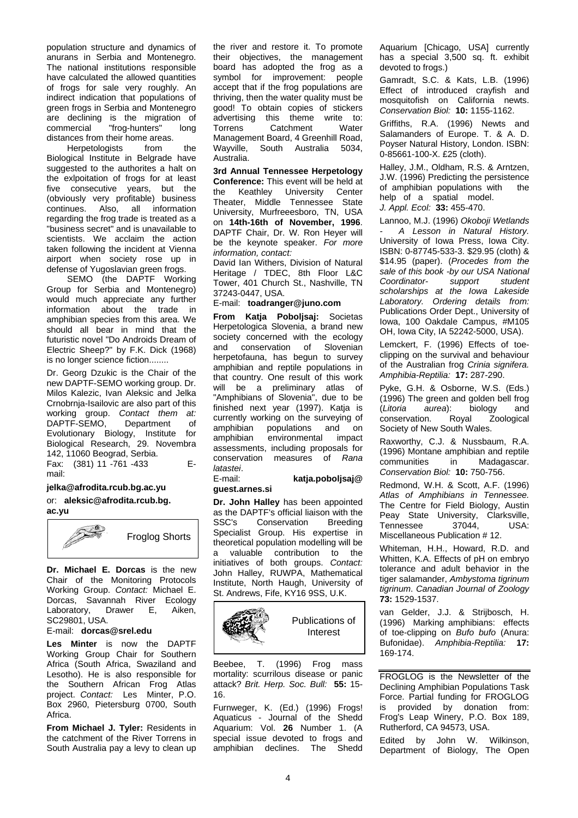population structure and dynamics of anurans in Serbia and Montenegro. The national institutions responsible have calculated the allowed quantities of frogs for sale very roughly. An indirect indication that populations of green frogs in Serbia and Montenegro are declining is the migration of commercial "frog-hunters" long distances from their home areas.<br>Herpetologists from

Herpetologists from the Biological Institute in Belgrade have suggested to the authorites a halt on the exlpoitation of frogs for at least five consecutive years, but the (obviously very profitable) business<br>continues. Also, all information Also, all regarding the frog trade is treated as a "business secret" and is unavailable to scientists. We acclaim the action taken following the incident at Vienna airport when society rose up in defense of Yugoslavian green frogs.

SEMO (the DAPTF Working Group for Serbia and Montenegro) would much appreciate any further information about the trade in amphibian species from this area. We should all bear in mind that the futuristic novel "Do Androids Dream of Electric Sheep?" by F.K. Dick (1968) is no longer science fiction........

Dr. Georg Dzukic is the Chair of the new DAPTF-SEMO working group. Dr. Milos Kalezic, Ivan Aleksic and Jelka Crnobrnja-Isailovic are also part of this working group. *Contact them at:* DAPTF-SEMO, Evolutionary Biology, Institute for Biological Research, 29. Novembra 142, 11060 Beograd, Serbia.

Fax: (381) 11 -761 -433 Email:

#### **jelka@afrodita.rcub.bg.ac.yu**

or: **aleksic@afrodita.rcub.bg. ac.yu**



**Dr. Michael E. Dorcas** is the new Chair of the Monitoring Protocols Working Group. *Contact:* Michael E. Dorcas, Savannah River Ecology Laboratory, Drawer E, Aiken, SC29801, USA.

#### E-mail: **dorcas@srel.edu**

**Les Minter** is now the DAPTF Working Group Chair for Southern Africa (South Africa, Swaziland and Lesotho). He is also responsible for the Southern African Frog Atlas project. *Contact:* Les Minter, P.O. Box 2960, Pietersburg 0700, South Africa.

**From Michael J. Tyler:** Residents in the catchment of the River Torrens in South Australia pay a levy to clean up

the river and restore it. To promote their objectives, the management board has adopted the frog as a symbol for improvement: people accept that if the frog populations are thriving, then the water quality must be good! To obtain copies of stickers advertising this theme write to: Torrens Catchment Water Management Board, 4 Greenhill Road, Wayville, South Australia 5034, Australia.

**3rd Annual Tennessee Herpetology Conference:** This event will be held at the Keathley University Center University Theater, Middle Tennessee State University, Murfreeesboro, TN, USA on **14th-16th of November, 1996**. DAPTF Chair, Dr. W. Ron Heyer will be the keynote speaker. *For more information, contact:*

David Ian Withers, Division of Natural Heritage / TDEC, 8th Floor L&C Tower, 401 Church St., Nashville, TN 37243-0447, USA.

# E-mail: **toadranger@juno.com**

**From Katja Poboljsaj:** Societas Herpetologica Slovenia, a brand new society concerned with the ecology<br>and conservation of Slovenian and conservation of herpetofauna, has begun to survey amphibian and reptile populations in that country. One result of this work will be a preliminary atlas of "Amphibians of Slovenia", due to be finished next year (1997). Katja is currently working on the surveying of<br>amphibian populations and on populations and on amphibian environmental impact assessments, including proposals for conservation measures of *Rana latastei*.

#### E-mail: **katja.poboljsaj@ guest.arnes.si**

**Dr. John Halley** has been appointed as the DAPTF's official liaison with the<br>SSC's Conservation Breeding SSC's Conservation Specialist Group. His expertise in theoretical population modelling will be a valuable contribution to the initiatives of both groups. *Contact:*  John Halley, RUWPA, Mathematical Institute, North Haugh, University of St. Andrews, Fife, KY16 9SS, U.K.



Beebee, T. (1996) Frog mass mortality: scurrilous disease or panic attack? *Brit. Herp. Soc. Bull:* **55:** 15- 16.

Furnweger, K. (Ed.) (1996) Frogs! Aquaticus - Journal of the Shedd Aquarium: Vol. **26** Number 1. (A special issue devoted to frogs and amphibian declines. The Shedd Aquarium [Chicago, USA] currently has a special 3,500 sq. ft. exhibit devoted to frogs.)

Gamradt, S.C. & Kats, L.B. (1996) Effect of introduced crayfish and mosquitofish on California newts. *Conservation Biol:* **10:** 1155-1162.

Griffiths, R.A. (1996) Newts and Salamanders of Europe. T. & A. D. Poyser Natural History, London. ISBN: 0-85661-100-X. £25 (cloth).

Halley, J.M., Oldham, R.S. & Arntzen, J.W. (1996) Predicting the persistence of amphibian populations with help of a spatial model.

*J. Appl. Ecol:* **33:** 455-470.

Lannoo, M.J. (1996) *Okoboji Wetlands - A Lesson in Natural History.* University of Iowa Press, Iowa City. ISBN: 0-87745-533-3. \$29.95 (cloth) & \$14.95 (paper). (*Procedes from the sale of this book -by our USA National Coordinator- support student scholarships at the Iowa Lakeside Laboratory. Ordering details from:* Publications Order Dept., University of Iowa, 100 Oakdale Campus, #M105 OH, Iowa City, IA 52242-5000, USA).

Lemckert, F. (1996) Effects of toeclipping on the survival and behaviour of the Australian frog *Crinia signifera. Amphibia-Reptilia:* **17:** 287-290.

Pyke, G.H. & Osborne, W.S. (Eds.) (1996) The green and golden bell frog<br>(Litoria aurea): biology and (*Litoria aurea*): biology<br>conservation. Royal Zo Zoological Society of New South Wales.

Raxworthy, C.J. & Nussbaum, R.A. (1996) Montane amphibian and reptile communities in Madagascar. *Conservation Biol:* **10:** 750-756.

Redmond, W.H. & Scott, A.F. (1996) *Atlas of Amphibians in Tennessee.* The Centre for Field Biology, Austin Peay State University, Clarksville, Tennessee 37044, USA: Miscellaneous Publication # 12.

Whiteman, H.H., Howard, R.D. and Whitten, K.A. Effects of pH on embryo tolerance and adult behavior in the tiger salamander, *Ambystoma tigrinum tigrinum*. *Canadian Journal of Zoology* **73:** 1529-1537.

van Gelder, J.J. & Strijbosch, H. (1996) Marking amphibians: effects of toe-clipping on *Bufo bufo* (Anura: Bufonidae). *Amphibia-Reptilia:* **17:**  169-174.

FROGLOG is the Newsletter of the Declining Amphibian Populations Task Force. Partial funding for FROGLOG is provided by donation from: Frog's Leap Winery, P.O. Box 189, Rutherford, CA 94573, USA.

Edited by John W. Wilkinson, Department of Biology, The Open